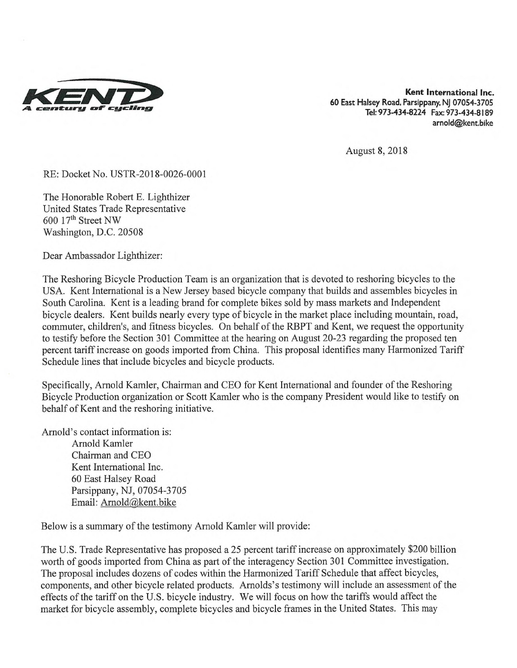

**Kent International inc.**  60 East Halsey Road, Parsippany, NJ 07054-3705 Tel: 973-434-8224 Fax: 973-434-8189 arnold@kent,bike

August 8, 2018

RE: Docket No. USTR-2018-0026-0001

The Honorable Robert E. Lighthizer United States Trade Representative  $600$  17<sup>th</sup> Street NW Washington, D.C. 20508

Dear Ambassador Lighthizer:

The Reshoring Bicycle Production Team is an organization that is devoted to reshoring bicycles to the USA. Kent International is a New Jersey based bicycle company that builds and assembles bicycles in South Carolina. Kent is a leading brand for complete bikes sold by mass markets and Independent bicycle dealers. Kent builds nearly every type of bicycle in the market place including mountain, road, commuter, children's, and fitness bicycles. On behalf of the RBPT and Kent, we request the opportunity to testify before the Section 301 Committee at the hearing on August 20-23 regarding the proposed ten percent tariff increase on goods imported from China. This proposal identifies many Harmonized Tariff Schedule lines that include bicycles and bicycle products.

Specifically, Arnold Kamler, Chairman and CEO for Kent International and founder of the Reshoring Bicycle Production organization or Scott Kamler who is the company President would like to testify on behalf of Kent and the reshoring initiative.

Arnold's contact information is:

Arnold Kamler Chairman and CEO Kent International Inc. 60 East Halsey Road Parsippany, NJ, 07054-3705 Email: Arnold@kent.bike

Below is a summary of the testimony Arnold Kamler will provide:

The U.S. Trade Representative has proposed a 25 percent tariff increase on approximately \$200 billion worth of goods imported from China as part of the interagency Section 301 Committee investigation. The proposal includes dozens of codes within the Harmonized Tariff Schedule that affect bicycles, components, and other bicycle related products. Arnolds's testimony will include an assessment of the effects of the tariff on the U.S. bicycle industry. We will focus on how the tariffs would affect the market for bicycle assembly, complete bicycles and bicycle frames in the United States. This may